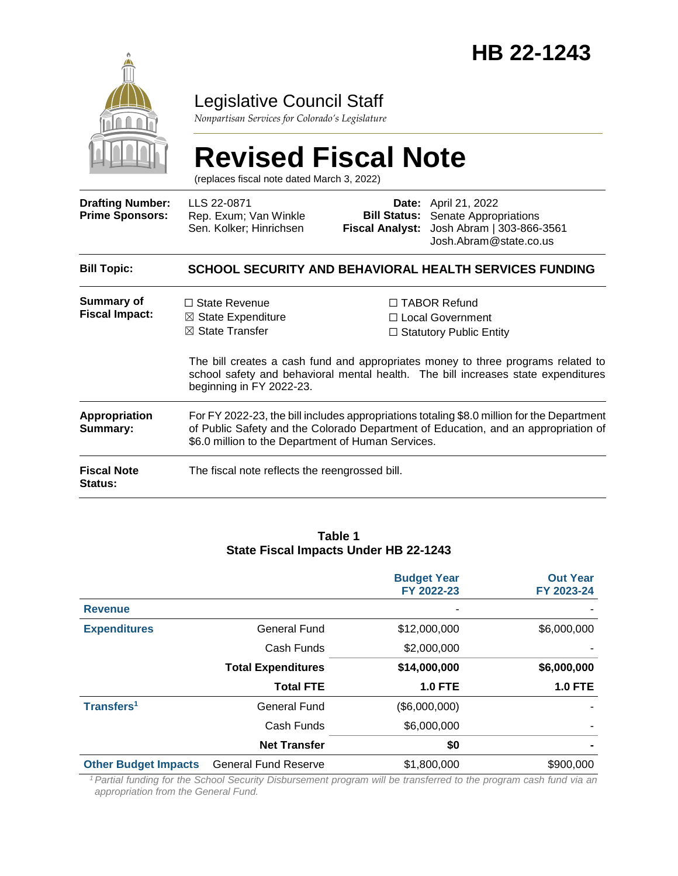

### Legislative Council Staff

*Nonpartisan Services for Colorado's Legislature*

# **Revised Fiscal Note**

(replaces fiscal note dated March 3, 2022)

| <b>Drafting Number:</b><br><b>Prime Sponsors:</b> | LLS 22-0871<br>Rep. Exum; Van Winkle<br>Sen. Kolker; Hinrichsen                                                                                                                                                                        | <b>Fiscal Analyst:</b> | <b>Date:</b> April 21, 2022<br><b>Bill Status:</b> Senate Appropriations<br>Josh Abram   303-866-3561<br>Josh.Abram@state.co.us                                                                                                                           |  |
|---------------------------------------------------|----------------------------------------------------------------------------------------------------------------------------------------------------------------------------------------------------------------------------------------|------------------------|-----------------------------------------------------------------------------------------------------------------------------------------------------------------------------------------------------------------------------------------------------------|--|
| <b>Bill Topic:</b>                                |                                                                                                                                                                                                                                        |                        | SCHOOL SECURITY AND BEHAVIORAL HEALTH SERVICES FUNDING                                                                                                                                                                                                    |  |
| Summary of<br><b>Fiscal Impact:</b>               | $\Box$ State Revenue<br>$\boxtimes$ State Expenditure<br>$\boxtimes$ State Transfer<br>beginning in FY 2022-23.                                                                                                                        |                        | $\Box$ TABOR Refund<br>$\Box$ Local Government<br>$\Box$ Statutory Public Entity<br>The bill creates a cash fund and appropriates money to three programs related to<br>school safety and behavioral mental health. The bill increases state expenditures |  |
| Appropriation<br>Summary:                         | For FY 2022-23, the bill includes appropriations totaling \$8.0 million for the Department<br>of Public Safety and the Colorado Department of Education, and an appropriation of<br>\$6.0 million to the Department of Human Services. |                        |                                                                                                                                                                                                                                                           |  |
| <b>Fiscal Note</b><br><b>Status:</b>              | The fiscal note reflects the reengrossed bill.                                                                                                                                                                                         |                        |                                                                                                                                                                                                                                                           |  |

#### **Table 1 State Fiscal Impacts Under HB 22-1243**

|                             |                             | <b>Budget Year</b><br>FY 2022-23 | <b>Out Year</b><br>FY 2023-24 |
|-----------------------------|-----------------------------|----------------------------------|-------------------------------|
| <b>Revenue</b>              |                             | $\overline{\phantom{a}}$         |                               |
| <b>Expenditures</b>         | <b>General Fund</b>         | \$12,000,000                     | \$6,000,000                   |
|                             | Cash Funds                  | \$2,000,000                      |                               |
|                             | <b>Total Expenditures</b>   | \$14,000,000                     | \$6,000,000                   |
|                             | <b>Total FTE</b>            | <b>1.0 FTE</b>                   | <b>1.0 FTE</b>                |
| Transfers <sup>1</sup>      | <b>General Fund</b>         | (\$6,000,000)                    |                               |
|                             | Cash Funds                  | \$6,000,000                      |                               |
|                             | <b>Net Transfer</b>         | \$0                              |                               |
| <b>Other Budget Impacts</b> | <b>General Fund Reserve</b> | \$1,800,000                      | \$900,000                     |

*<sup>1</sup>Partial funding for the School Security Disbursement program will be transferred to the program cash fund via an appropriation from the General Fund.*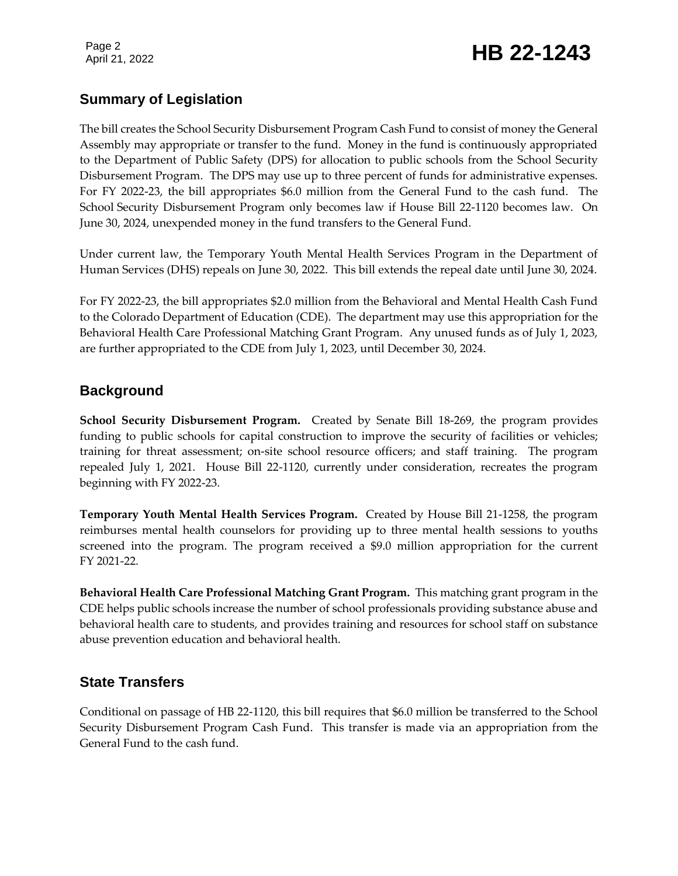Page 2

## Page 2<br>April 21, 2022 **HB 22-1243**

### **Summary of Legislation**

The bill creates the School Security Disbursement Program Cash Fund to consist of money the General Assembly may appropriate or transfer to the fund. Money in the fund is continuously appropriated to the Department of Public Safety (DPS) for allocation to public schools from the School Security Disbursement Program. The DPS may use up to three percent of funds for administrative expenses. For FY 2022-23, the bill appropriates \$6.0 million from the General Fund to the cash fund. The School Security Disbursement Program only becomes law if House Bill 22-1120 becomes law. On June 30, 2024, unexpended money in the fund transfers to the General Fund.

Under current law, the Temporary Youth Mental Health Services Program in the Department of Human Services (DHS) repeals on June 30, 2022. This bill extends the repeal date until June 30, 2024.

For FY 2022-23, the bill appropriates \$2.0 million from the Behavioral and Mental Health Cash Fund to the Colorado Department of Education (CDE). The department may use this appropriation for the Behavioral Health Care Professional Matching Grant Program. Any unused funds as of July 1, 2023, are further appropriated to the CDE from July 1, 2023, until December 30, 2024.

### **Background**

**School Security Disbursement Program.** Created by Senate Bill 18-269, the program provides funding to public schools for capital construction to improve the security of facilities or vehicles; training for threat assessment; on-site school resource officers; and staff training. The program repealed July 1, 2021. House Bill 22-1120, currently under consideration, recreates the program beginning with FY 2022-23.

**Temporary Youth Mental Health Services Program.** Created by House Bill 21-1258, the program reimburses mental health counselors for providing up to three mental health sessions to youths screened into the program. The program received a \$9.0 million appropriation for the current FY 2021-22.

**Behavioral Health Care Professional Matching Grant Program.** This matching grant program in the CDE helps public schools increase the number of school professionals providing substance abuse and behavioral health care to students, and provides training and resources for school staff on substance abuse prevention education and behavioral health.

### **State Transfers**

Conditional on passage of HB 22-1120, this bill requires that \$6.0 million be transferred to the School Security Disbursement Program Cash Fund. This transfer is made via an appropriation from the General Fund to the cash fund.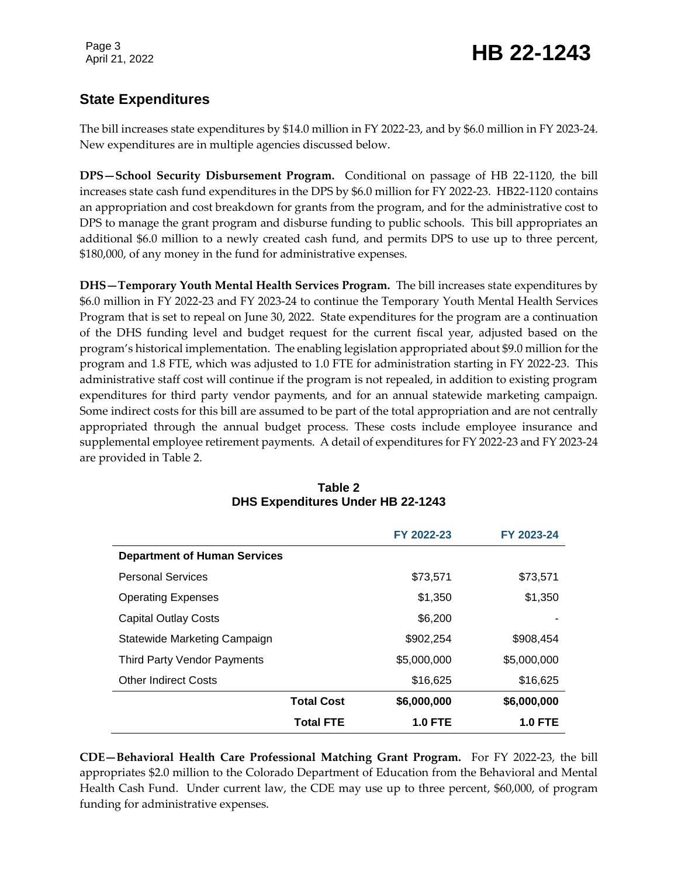Page 3

## Page 3<br>April 21, 2022 **HB 22-1243**

### **State Expenditures**

The bill increases state expenditures by \$14.0 million in FY 2022-23, and by \$6.0 million in FY 2023-24. New expenditures are in multiple agencies discussed below.

**DPS—School Security Disbursement Program.** Conditional on passage of HB 22-1120, the bill increases state cash fund expenditures in the DPS by \$6.0 million for FY 2022-23. HB22-1120 contains an appropriation and cost breakdown for grants from the program, and for the administrative cost to DPS to manage the grant program and disburse funding to public schools. This bill appropriates an additional \$6.0 million to a newly created cash fund, and permits DPS to use up to three percent, \$180,000, of any money in the fund for administrative expenses.

**DHS—Temporary Youth Mental Health Services Program.** The bill increases state expenditures by \$6.0 million in FY 2022-23 and FY 2023-24 to continue the Temporary Youth Mental Health Services Program that is set to repeal on June 30, 2022. State expenditures for the program are a continuation of the DHS funding level and budget request for the current fiscal year, adjusted based on the program's historical implementation. The enabling legislation appropriated about \$9.0 million for the program and 1.8 FTE, which was adjusted to 1.0 FTE for administration starting in FY 2022-23. This administrative staff cost will continue if the program is not repealed, in addition to existing program expenditures for third party vendor payments, and for an annual statewide marketing campaign. Some indirect costs for this bill are assumed to be part of the total appropriation and are not centrally appropriated through the annual budget process. These costs include employee insurance and supplemental employee retirement payments. A detail of expenditures for FY 2022-23 and FY 2023-24 are provided in Table 2.

|                                     |                   | FY 2022-23     | FY 2023-24     |
|-------------------------------------|-------------------|----------------|----------------|
| <b>Department of Human Services</b> |                   |                |                |
| <b>Personal Services</b>            |                   | \$73,571       | \$73,571       |
| <b>Operating Expenses</b>           |                   | \$1,350        | \$1,350        |
| <b>Capital Outlay Costs</b>         |                   | \$6,200        |                |
| Statewide Marketing Campaign        |                   | \$902,254      | \$908,454      |
| Third Party Vendor Payments         |                   | \$5,000,000    | \$5,000,000    |
| <b>Other Indirect Costs</b>         |                   | \$16,625       | \$16,625       |
|                                     | <b>Total Cost</b> | \$6,000,000    | \$6,000,000    |
|                                     | <b>Total FTE</b>  | <b>1.0 FTE</b> | <b>1.0 FTE</b> |

#### **Table 2 DHS Expenditures Under HB 22-1243**

**CDE—Behavioral Health Care Professional Matching Grant Program.** For FY 2022-23, the bill appropriates \$2.0 million to the Colorado Department of Education from the Behavioral and Mental Health Cash Fund. Under current law, the CDE may use up to three percent, \$60,000, of program funding for administrative expenses.